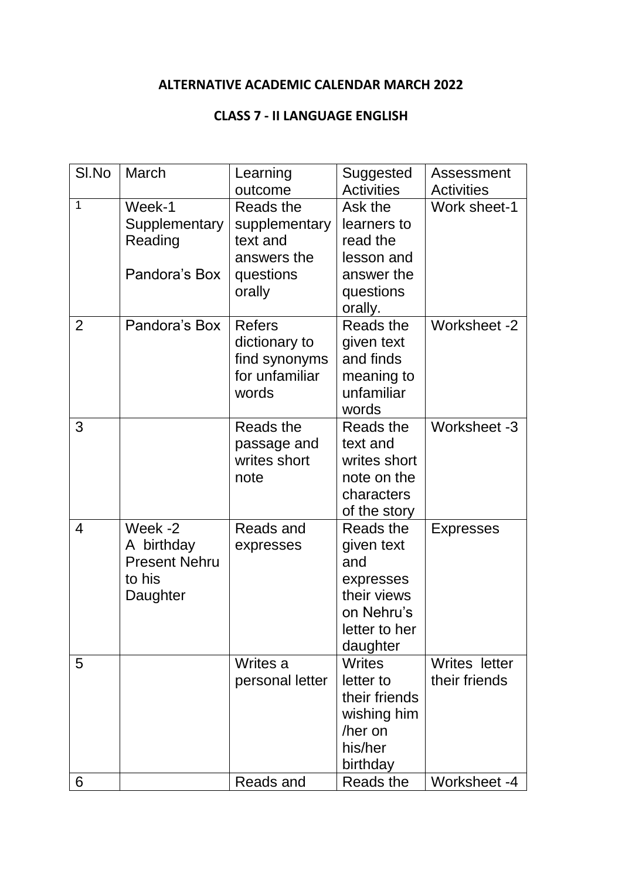#### **ALTERNATIVE ACADEMIC CALENDAR MARCH 2022**

#### **CLASS 7 - II LANGUAGE ENGLISH**

| SI.No          | March                | Learning        | Suggested                 | Assessment        |
|----------------|----------------------|-----------------|---------------------------|-------------------|
|                |                      | outcome         | <b>Activities</b>         | <b>Activities</b> |
| $\mathbf{1}$   | Week-1               | Reads the       | Ask the                   | Work sheet-1      |
|                | Supplementary        | supplementary   | learners to               |                   |
|                | Reading              | text and        | read the                  |                   |
|                |                      | answers the     | lesson and                |                   |
|                | Pandora's Box        | questions       | answer the                |                   |
|                |                      | orally          | questions                 |                   |
| $\overline{2}$ | Pandora's Box        | <b>Refers</b>   | orally.<br>Reads the      | Worksheet -2      |
|                |                      | dictionary to   | given text                |                   |
|                |                      | find synonyms   | and finds                 |                   |
|                |                      | for unfamiliar  | meaning to                |                   |
|                |                      | words           | unfamiliar                |                   |
|                |                      |                 | words                     |                   |
| 3              |                      | Reads the       | Reads the                 | Worksheet -3      |
|                |                      | passage and     | text and                  |                   |
|                |                      | writes short    | writes short              |                   |
|                |                      | note            | note on the               |                   |
|                |                      |                 | characters                |                   |
|                |                      |                 | of the story              |                   |
| 4              | Week -2              | Reads and       | Reads the                 | <b>Expresses</b>  |
|                | A birthday           | expresses       | given text                |                   |
|                | <b>Present Nehru</b> |                 | and                       |                   |
|                | to his               |                 | expresses                 |                   |
|                | Daughter             |                 | their views               |                   |
|                |                      |                 | on Nehru's                |                   |
|                |                      |                 | letter to her             |                   |
| 5              |                      | Writes a        | daughter<br><b>Writes</b> | Writes letter     |
|                |                      | personal letter | letter to                 | their friends     |
|                |                      |                 | their friends             |                   |
|                |                      |                 | wishing him               |                   |
|                |                      |                 | /her on                   |                   |
|                |                      |                 | his/her                   |                   |
|                |                      |                 | birthday                  |                   |
| 6              |                      | Reads and       | Reads the                 | Worksheet -4      |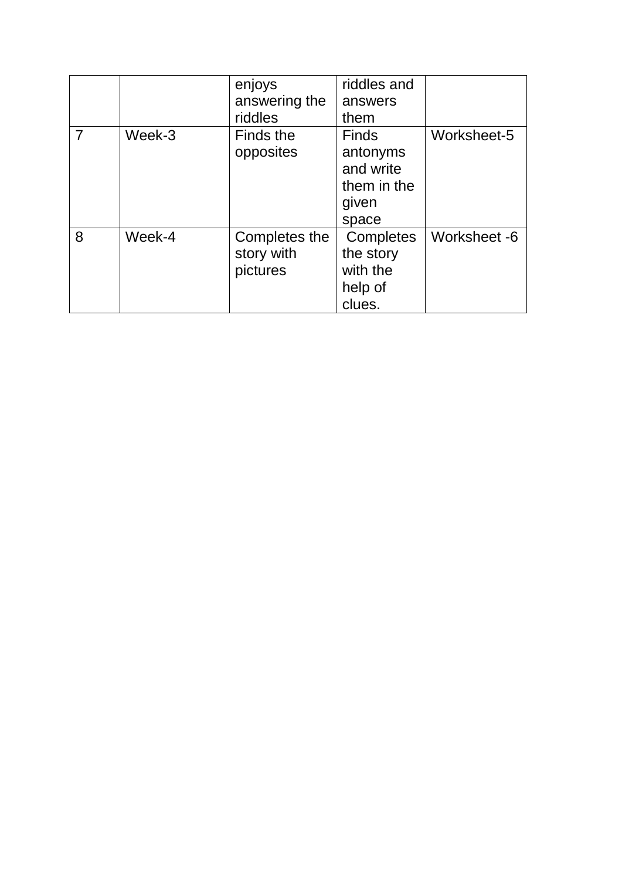|   |        | enjoys        | riddles and  |              |
|---|--------|---------------|--------------|--------------|
|   |        | answering the | answers      |              |
|   |        | riddles       | them         |              |
|   | Week-3 | Finds the     | <b>Finds</b> | Worksheet-5  |
|   |        | opposites     | antonyms     |              |
|   |        |               | and write    |              |
|   |        |               | them in the  |              |
|   |        |               | given        |              |
|   |        |               | space        |              |
| 8 | Week-4 | Completes the | Completes    | Worksheet -6 |
|   |        | story with    | the story    |              |
|   |        | pictures      | with the     |              |
|   |        |               | help of      |              |
|   |        |               | clues.       |              |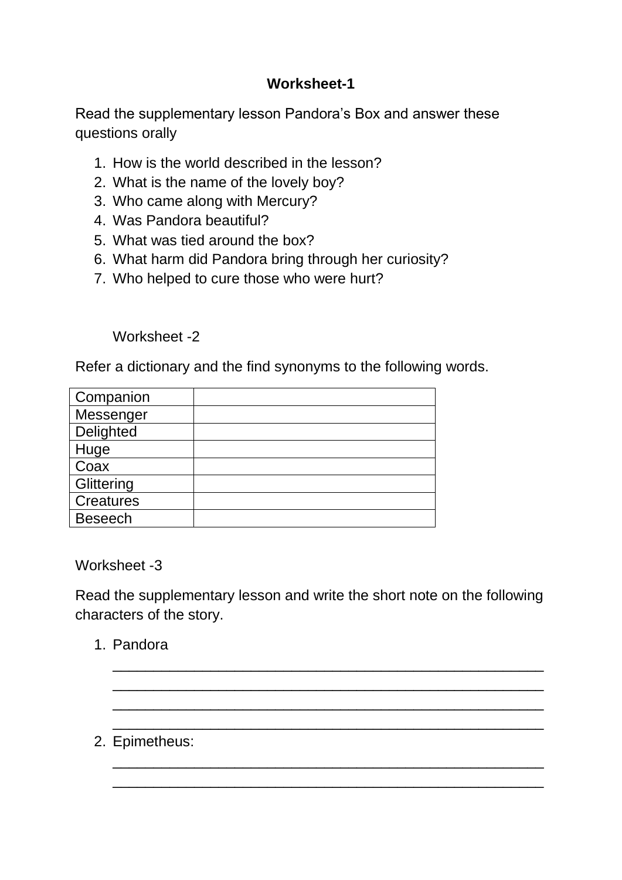# **Worksheet-1**

Read the supplementary lesson Pandora's Box and answer these questions orally

- 1. How is the world described in the lesson?
- 2. What is the name of the lovely boy?
- 3. Who came along with Mercury?
- 4. Was Pandora beautiful?
- 5. What was tied around the box?
- 6. What harm did Pandora bring through her curiosity?
- 7. Who helped to cure those who were hurt?

Worksheet -2

Refer a dictionary and the find synonyms to the following words.

| Companion        |  |
|------------------|--|
| Messenger        |  |
| Delighted        |  |
| Huge             |  |
| Coax             |  |
| Glittering       |  |
| <b>Creatures</b> |  |
| <b>Beseech</b>   |  |

Worksheet -3

Read the supplementary lesson and write the short note on the following characters of the story.

\_\_\_\_\_\_\_\_\_\_\_\_\_\_\_\_\_\_\_\_\_\_\_\_\_\_\_\_\_\_\_\_\_\_\_\_\_\_\_\_\_\_\_\_\_\_\_\_\_\_\_\_\_ \_\_\_\_\_\_\_\_\_\_\_\_\_\_\_\_\_\_\_\_\_\_\_\_\_\_\_\_\_\_\_\_\_\_\_\_\_\_\_\_\_\_\_\_\_\_\_\_\_\_\_\_\_ \_\_\_\_\_\_\_\_\_\_\_\_\_\_\_\_\_\_\_\_\_\_\_\_\_\_\_\_\_\_\_\_\_\_\_\_\_\_\_\_\_\_\_\_\_\_\_\_\_\_\_\_\_ \_\_\_\_\_\_\_\_\_\_\_\_\_\_\_\_\_\_\_\_\_\_\_\_\_\_\_\_\_\_\_\_\_\_\_\_\_\_\_\_\_\_\_\_\_\_\_\_\_\_\_\_\_

\_\_\_\_\_\_\_\_\_\_\_\_\_\_\_\_\_\_\_\_\_\_\_\_\_\_\_\_\_\_\_\_\_\_\_\_\_\_\_\_\_\_\_\_\_\_\_\_\_\_\_\_\_ \_\_\_\_\_\_\_\_\_\_\_\_\_\_\_\_\_\_\_\_\_\_\_\_\_\_\_\_\_\_\_\_\_\_\_\_\_\_\_\_\_\_\_\_\_\_\_\_\_\_\_\_\_

1. Pandora

2. Epimetheus: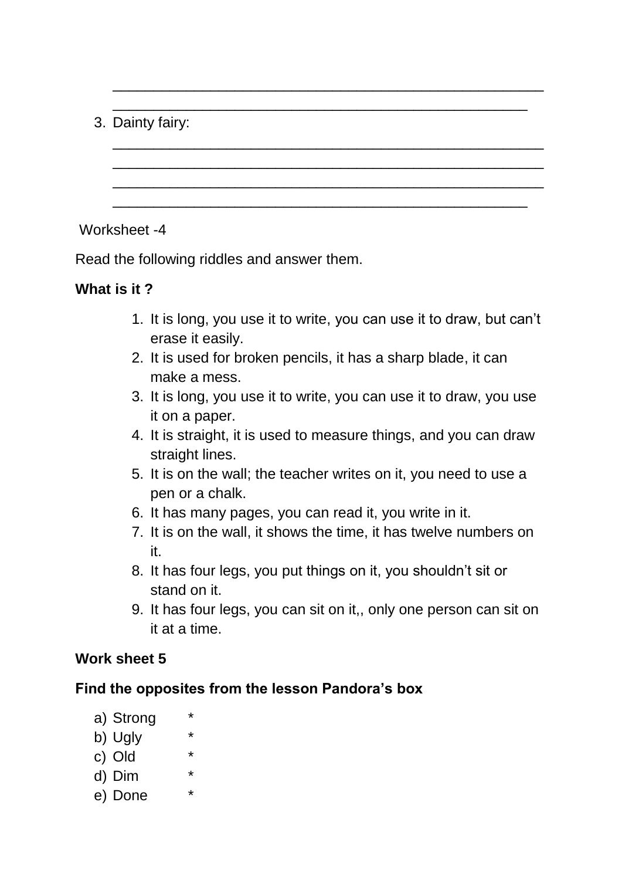# 3. Dainty fairy:

### Worksheet -4

Read the following riddles and answer them.

## **What is it ?**

1. It is long, you use it to write, you can use it to draw, but can't erase it easily.

\_\_\_\_\_\_\_\_\_\_\_\_\_\_\_\_\_\_\_\_\_\_\_\_\_\_\_\_\_\_\_\_\_\_\_\_\_\_\_\_\_\_\_\_\_\_\_\_\_\_\_\_\_

\_\_\_\_\_\_\_\_\_\_\_\_\_\_\_\_\_\_\_\_\_\_\_\_\_\_\_\_\_\_\_\_\_\_\_\_\_\_\_\_\_\_\_\_\_\_\_\_\_\_\_\_\_ \_\_\_\_\_\_\_\_\_\_\_\_\_\_\_\_\_\_\_\_\_\_\_\_\_\_\_\_\_\_\_\_\_\_\_\_\_\_\_\_\_\_\_\_\_\_\_\_\_\_\_\_\_ \_\_\_\_\_\_\_\_\_\_\_\_\_\_\_\_\_\_\_\_\_\_\_\_\_\_\_\_\_\_\_\_\_\_\_\_\_\_\_\_\_\_\_\_\_\_\_\_\_\_\_\_\_

\_\_\_\_\_\_\_\_\_\_\_\_\_\_\_\_\_\_\_\_\_\_\_\_\_\_\_\_\_\_\_\_\_\_\_\_\_\_\_\_\_\_\_\_\_\_\_\_\_\_\_

\_\_\_\_\_\_\_\_\_\_\_\_\_\_\_\_\_\_\_\_\_\_\_\_\_\_\_\_\_\_\_\_\_\_\_\_\_\_\_\_\_\_\_\_\_\_\_\_\_\_\_

- 2. It is used for broken pencils, it has a sharp blade, it can make a mess.
- 3. It is long, you use it to write, you can use it to draw, you use it on a paper.
- 4. It is straight, it is used to measure things, and you can draw straight lines.
- 5. It is on the wall; the teacher writes on it, you need to use a pen or a chalk.
- 6. It has many pages, you can read it, you write in it.
- 7. It is on the wall, it shows the time, it has twelve numbers on it.
- 8. It has four legs, you put things on it, you shouldn't sit or stand on it.
- 9. It has four legs, you can sit on it,, only one person can sit on it at a time.

## **Work sheet 5**

## **Find the opposites from the lesson Pandora's box**

- a) Strong
- b) Ugly
- c) Old
- d) Dim \*
- e) Done \*